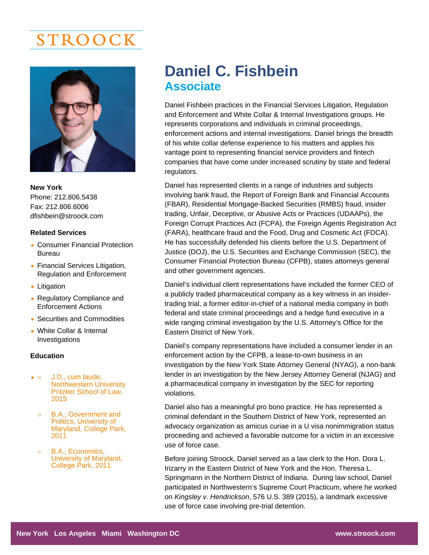# STROOCK

New York Phone: 212.806.5438 Fax: 212.806.6006 [dfishbein@stroock.com](mailto:dfishbein@stroock.com)

### Related Services

- Consumer Financial Protection Bureau
- Financial Services Litigation, Regulation and Enforcement
- Litigation
- Regulatory Compliance and Enforcement Actions
- Securities and Commodities
- White Collar & Internal Investigations

## **Education**

- $\bullet$  0 J.D., cum laude, Northwestern University Pritzker School of Law, 2015
	- B.A., Government and  $\circ$ Politics, University of Maryland, College Park, 2011
	- B.A., Economics, University of Maryland, College Park, 2011

## Daniel C. Fishbein **Associate**

Daniel Fishbein practices in the Financial Services Litigation, Regulation and Enforcement and White Collar & Internal Investigations groups. He represents corporations and individuals in criminal proceedings, enforcement actions and internal investigations. Daniel brings the breadth of his white collar defense experience to his matters and applies his vantage point to representing financial service providers and fintech companies that have come under increased scrutiny by state and federal regulators.

Daniel has represented clients in a range of industries and subjects involving bank fraud, the Report of Foreign Bank and Financial Accounts (FBAR), Residential Mortgage-Backed Securities (RMBS) fraud, insider trading, Unfair, Deceptive, or Abusive Acts or Practices (UDAAPs), the Foreign Corrupt Practices Act (FCPA), the Foreign Agents Registration Act (FARA), healthcare fraud and the Food, Drug and Cosmetic Act (FDCA). He has successfully defended his clients before the U.S. Department of Justice (DOJ), the U.S. Securities and Exchange Commission (SEC), the Consumer Financial Protection Bureau (CFPB), states attorneys general and other government agencies.

Daniel's individual client representations have included the former CEO of a publicly traded pharmaceutical company as a key witness in an insidertrading trial, a former editor-in-chief of a national media company in both federal and state criminal proceedings and a hedge fund executive in a wide ranging criminal investigation by the U.S. Attorney's Office for the Eastern District of New York.

Daniel's company representations have included a consumer lender in an enforcement action by the CFPB, a lease-to-own business in an investigation by the New York State Attorney General (NYAG), a non-bank lender in an investigation by the New Jersey Attorney General (NJAG) and a pharmaceutical company in investigation by the SEC for reporting violations.

Daniel also has a meaningful pro bono practice. He has represented a criminal defendant in the Southern District of New York, represented an advocacy organization as amicus curiae in a U visa nonimmigration status proceeding and achieved a favorable outcome for a victim in an excessive use of force case.

Before joining Stroock, Daniel served as a law clerk to the Hon. Dora L. Irizarry in the Eastern District of New York and the Hon. Theresa L. Springmann in the Northern District of Indiana. During law school, Daniel participated in Northwestern's Supreme Court Practicum, where he worked on Kingsley v. Hendrickson, 576 U.S. 389 (2015), a landmark excessive use of force case involving pre-trial detention.